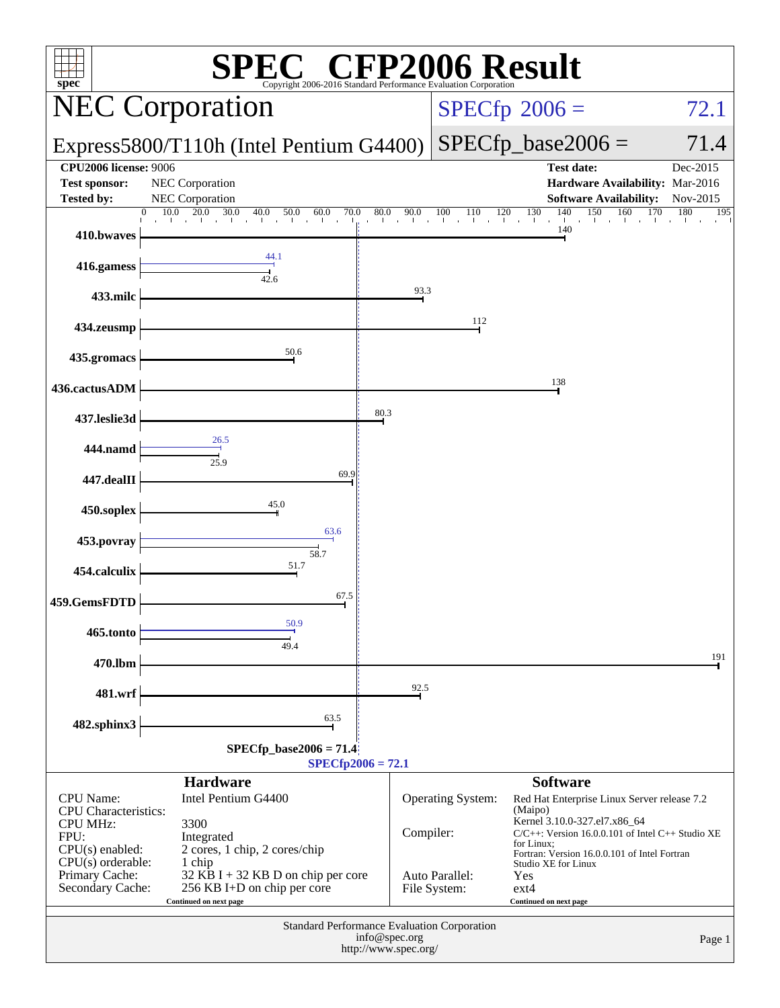| <b>CFP2006 Result</b><br>spec <sup>®</sup><br>Copyright 2006-2016 Standard Performance Evaluation Corporatio |                                                                                                         |                                       |                                |                                                                                                                                                           |                                    |  |  |
|--------------------------------------------------------------------------------------------------------------|---------------------------------------------------------------------------------------------------------|---------------------------------------|--------------------------------|-----------------------------------------------------------------------------------------------------------------------------------------------------------|------------------------------------|--|--|
|                                                                                                              | <b>NEC Corporation</b>                                                                                  |                                       |                                | $SPECfp^{\circ}2006 =$                                                                                                                                    | 72.1                               |  |  |
|                                                                                                              | Express5800/T110h (Intel Pentium G4400)                                                                 |                                       |                                | $SPECfp\_base2006 =$                                                                                                                                      | 71.4                               |  |  |
| <b>CPU2006 license: 9006</b><br><b>Test sponsor:</b><br><b>Tested by:</b>                                    | NEC Corporation<br>NEC Corporation<br>10.0<br>20.0<br>40.0<br>70.0<br>0                                 |                                       |                                | <b>Test date:</b><br>Hardware Availability: Mar-2016<br><b>Software Availability:</b><br>130<br>150<br>160                                                | Dec-2015<br>Nov-2015<br>180<br>170 |  |  |
| 410.bwaves                                                                                                   | 30.0<br>$\overline{50.0}$<br>$^{50.0}$ 60.0                                                             | 80.0<br>$80.0$ 90.0                   | $\frac{100}{1}$<br>110         | $\frac{140}{1}$ $\frac{150}{1}$<br>$^{120}$<br>140                                                                                                        | 195                                |  |  |
| 416.gamess                                                                                                   | 44.1<br>42.6                                                                                            |                                       |                                |                                                                                                                                                           |                                    |  |  |
| 433.milc                                                                                                     |                                                                                                         | 93.3                                  |                                |                                                                                                                                                           |                                    |  |  |
| 434.zeusmp                                                                                                   |                                                                                                         |                                       | 112                            |                                                                                                                                                           |                                    |  |  |
| 435.gromacs                                                                                                  | 50.6                                                                                                    |                                       |                                |                                                                                                                                                           |                                    |  |  |
| 436.cactusADM                                                                                                |                                                                                                         |                                       |                                | 138                                                                                                                                                       |                                    |  |  |
| 437.leslie3d                                                                                                 | 26.5                                                                                                    | 80.3                                  |                                |                                                                                                                                                           |                                    |  |  |
| 444.namd                                                                                                     | 25.9                                                                                                    |                                       |                                |                                                                                                                                                           |                                    |  |  |
| 447.dealII                                                                                                   | 69.9                                                                                                    |                                       |                                |                                                                                                                                                           |                                    |  |  |
| 450.soplex                                                                                                   | 45.0<br>63.6                                                                                            |                                       |                                |                                                                                                                                                           |                                    |  |  |
| 453.povray                                                                                                   | 58.7                                                                                                    |                                       |                                |                                                                                                                                                           |                                    |  |  |
| 454.calculix                                                                                                 | 51.7<br>67.5                                                                                            |                                       |                                |                                                                                                                                                           |                                    |  |  |
| 459.GemsFDTD                                                                                                 | 50.9                                                                                                    |                                       |                                |                                                                                                                                                           |                                    |  |  |
| 465.tonto                                                                                                    | 49.4                                                                                                    |                                       |                                |                                                                                                                                                           | 191                                |  |  |
| 470.lbm                                                                                                      |                                                                                                         | 92.5                                  |                                |                                                                                                                                                           |                                    |  |  |
| 481.wrf                                                                                                      | 63.5                                                                                                    |                                       |                                |                                                                                                                                                           |                                    |  |  |
| 482.sphinx3<br>$SPECfp\_base2006 = 71.4$<br>$SPECfp2006 = 72.1$                                              |                                                                                                         |                                       |                                |                                                                                                                                                           |                                    |  |  |
| <b>CPU</b> Name:                                                                                             | <b>Hardware</b><br>Intel Pentium G4400                                                                  |                                       | Operating System:              | <b>Software</b><br>Red Hat Enterprise Linux Server release 7.2                                                                                            |                                    |  |  |
| <b>CPU</b> Characteristics:<br><b>CPU MHz:</b><br>FPU:<br>$CPU(s)$ enabled:                                  | 3300<br>Integrated<br>2 cores, 1 chip, 2 cores/chip                                                     | Compiler:                             |                                | (Maipo)<br>Kernel 3.10.0-327.el7.x86_64<br>C/C++: Version 16.0.0.101 of Intel C++ Studio XE<br>for Linux;<br>Fortran: Version 16.0.0.101 of Intel Fortran |                                    |  |  |
| $CPU(s)$ orderable:<br>Primary Cache:<br>Secondary Cache:                                                    | 1 chip<br>$32$ KB I + 32 KB D on chip per core<br>256 KB I+D on chip per core<br>Continued on next page |                                       | Auto Parallel:<br>File System: | Studio XE for Linux<br>Yes<br>$ext{4}$<br>Continued on next page                                                                                          |                                    |  |  |
|                                                                                                              | Standard Performance Evaluation Corporation                                                             | info@spec.org<br>http://www.spec.org/ |                                |                                                                                                                                                           | Page 1                             |  |  |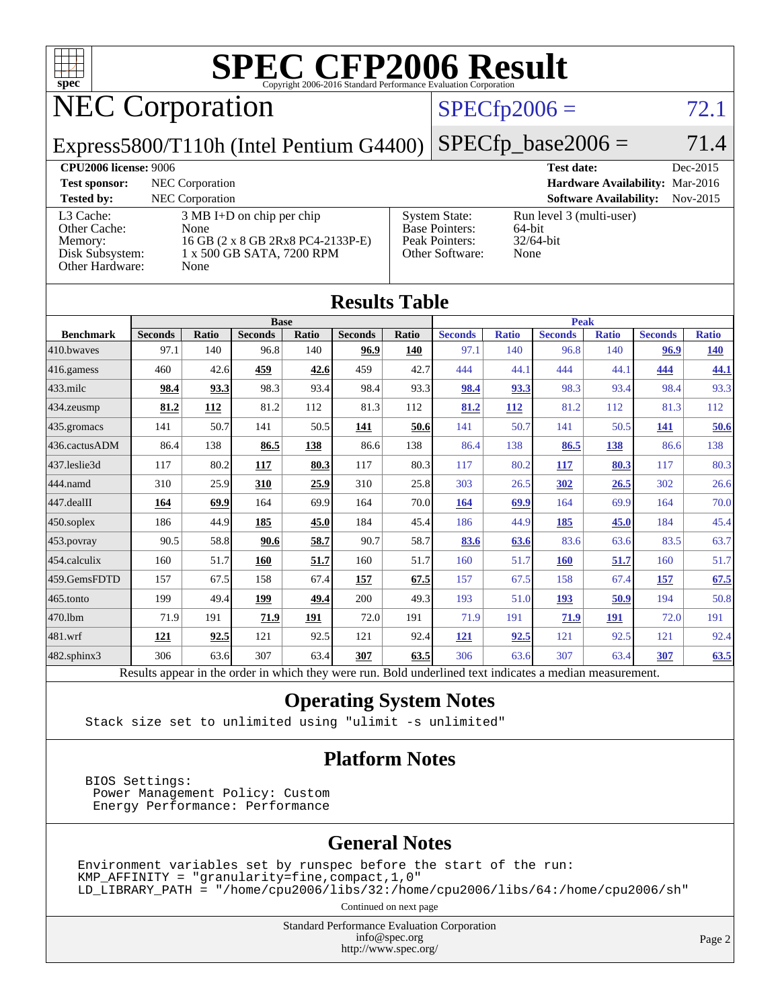

# **[SPEC CFP2006 Result](http://www.spec.org/auto/cpu2006/Docs/result-fields.html#SPECCFP2006Result)**

# NEC Corporation

### $SPECfp2006 = 72.1$  $SPECfp2006 = 72.1$

Express5800/T110h (Intel Pentium G4400)

 $SPECTp\_base2006 = 71.4$ 

#### **[CPU2006 license:](http://www.spec.org/auto/cpu2006/Docs/result-fields.html#CPU2006license)** 9006 **[Test date:](http://www.spec.org/auto/cpu2006/Docs/result-fields.html#Testdate)** Dec-2015

| <b>Test sponsor:</b>                                                       | NEC Corporation                                                                                                       |                                                                                    | Hardware Availability: Mar-2016                            |          |
|----------------------------------------------------------------------------|-----------------------------------------------------------------------------------------------------------------------|------------------------------------------------------------------------------------|------------------------------------------------------------|----------|
| <b>Tested by:</b>                                                          | NEC Corporation                                                                                                       |                                                                                    | <b>Software Availability:</b>                              | Nov-2015 |
| L3 Cache:<br>Other Cache:<br>Memory:<br>Disk Subsystem:<br>Other Hardware: | $3 \text{ MB I+D}$ on chip per chip<br>None<br>16 GB (2 x 8 GB 2Rx8 PC4-2133P-E)<br>1 x 500 GB SATA, 7200 RPM<br>None | <b>System State:</b><br><b>Base Pointers:</b><br>Peak Pointers:<br>Other Software: | Run level 3 (multi-user)<br>64-bit<br>$32/64$ -bit<br>None |          |

**[Results Table](http://www.spec.org/auto/cpu2006/Docs/result-fields.html#ResultsTable)**

| Results Table                                                                                            |                |            |                |       |                |       |                |              |                |              |                |              |
|----------------------------------------------------------------------------------------------------------|----------------|------------|----------------|-------|----------------|-------|----------------|--------------|----------------|--------------|----------------|--------------|
|                                                                                                          | <b>Base</b>    |            |                |       |                |       | <b>Peak</b>    |              |                |              |                |              |
| <b>Benchmark</b>                                                                                         | <b>Seconds</b> | Ratio      | <b>Seconds</b> | Ratio | <b>Seconds</b> | Ratio | <b>Seconds</b> | <b>Ratio</b> | <b>Seconds</b> | <b>Ratio</b> | <b>Seconds</b> | <b>Ratio</b> |
| 410.bwayes                                                                                               | 97.1           | 140        | 96.8           | 140   | 96.9           | 140   | 97.1           | 140          | 96.8           | 140          | 96.9           | <u>140</u>   |
| $416$ .gamess                                                                                            | 460            | 42.6       | 459            | 42.6  | 459            | 42.7  | 444            | 44.1         | 444            | 44.1         | 444            | 44.1         |
| $433$ .milc                                                                                              | 98.4           | 93.3       | 98.3           | 93.4  | 98.4           | 93.3  | 98.4           | 93.3         | 98.3           | 93.4         | 98.4           | 93.3         |
| $434$ . zeusmp                                                                                           | 81.2           | <b>112</b> | 81.2           | 112   | 81.3           | 112   | 81.2           | 112          | 81.2           | 112          | 81.3           | 112          |
| 435.gromacs                                                                                              | 141            | 50.7       | 141            | 50.5  | 141            | 50.6  | 141            | 50.7         | 141            | 50.5         | <b>141</b>     | 50.6         |
| 436.cactusADM                                                                                            | 86.4           | 138        | 86.5           | 138   | 86.6           | 138   | 86.4           | 138          | 86.5           | 138          | 86.6           | 138          |
| 437.leslie3d                                                                                             | 117            | 80.2       | 117            | 80.3  | 117            | 80.3  | 117            | 80.2         | 117            | 80.3         | 117            | 80.3         |
| 444.namd                                                                                                 | 310            | 25.9       | 310            | 25.9  | 310            | 25.8  | 303            | 26.5         | 302            | 26.5         | 302            | 26.6         |
| $447$ .dealII                                                                                            | 164            | 69.9       | 164            | 69.9  | 164            | 70.0  | 164            | 69.9         | 164            | 69.9         | 164            | 70.0         |
| $450$ .soplex                                                                                            | 186            | 44.9       | 185            | 45.0  | 184            | 45.4  | 186            | 44.9         | 185            | 45.0         | 184            | 45.4         |
| 453.povray                                                                                               | 90.5           | 58.8       | 90.6           | 58.7  | 90.7           | 58.7  | 83.6           | 63.6         | 83.6           | 63.6         | 83.5           | 63.7         |
| 454.calculix                                                                                             | 160            | 51.7       | 160            | 51.7  | 160            | 51.7  | 160            | 51.7         | <b>160</b>     | 51.7         | 160            | 51.7         |
| 459.GemsFDTD                                                                                             | 157            | 67.5       | 158            | 67.4  | 157            | 67.5  | 157            | 67.5         | 158            | 67.4         | 157            | 67.5         |
| $465$ .tonto                                                                                             | 199            | 49.4       | 199            | 49.4  | 200            | 49.3  | 193            | 51.0         | 193            | 50.9         | 194            | 50.8         |
| 470.1bm                                                                                                  | 71.9           | 191        | 71.9           | 191   | 72.0           | 191   | 71.9           | 191          | 71.9           | 191          | 72.0           | 191          |
| 481.wrf                                                                                                  | 121            | 92.5       | 121            | 92.5  | 121            | 92.4  | 121            | 92.5         | 121            | 92.5         | 121            | 92.4         |
| $482$ .sphinx $3$                                                                                        | 306            | 63.6       | 307            | 63.4  | 307            | 63.5  | 306            | 63.6         | 307            | 63.4         | 307            | 63.5         |
| Results appear in the order in which they were run. Bold underlined text indicates a median measurement. |                |            |                |       |                |       |                |              |                |              |                |              |

#### **[Operating System Notes](http://www.spec.org/auto/cpu2006/Docs/result-fields.html#OperatingSystemNotes)**

Stack size set to unlimited using "ulimit -s unlimited"

#### **[Platform Notes](http://www.spec.org/auto/cpu2006/Docs/result-fields.html#PlatformNotes)**

 BIOS Settings: Power Management Policy: Custom Energy Performance: Performance

### **[General Notes](http://www.spec.org/auto/cpu2006/Docs/result-fields.html#GeneralNotes)**

Environment variables set by runspec before the start of the run:  $KMP_A$ FFINITY = "granularity=fine, compact, 1, 0" LD\_LIBRARY\_PATH = "/home/cpu2006/libs/32:/home/cpu2006/libs/64:/home/cpu2006/sh"

Continued on next page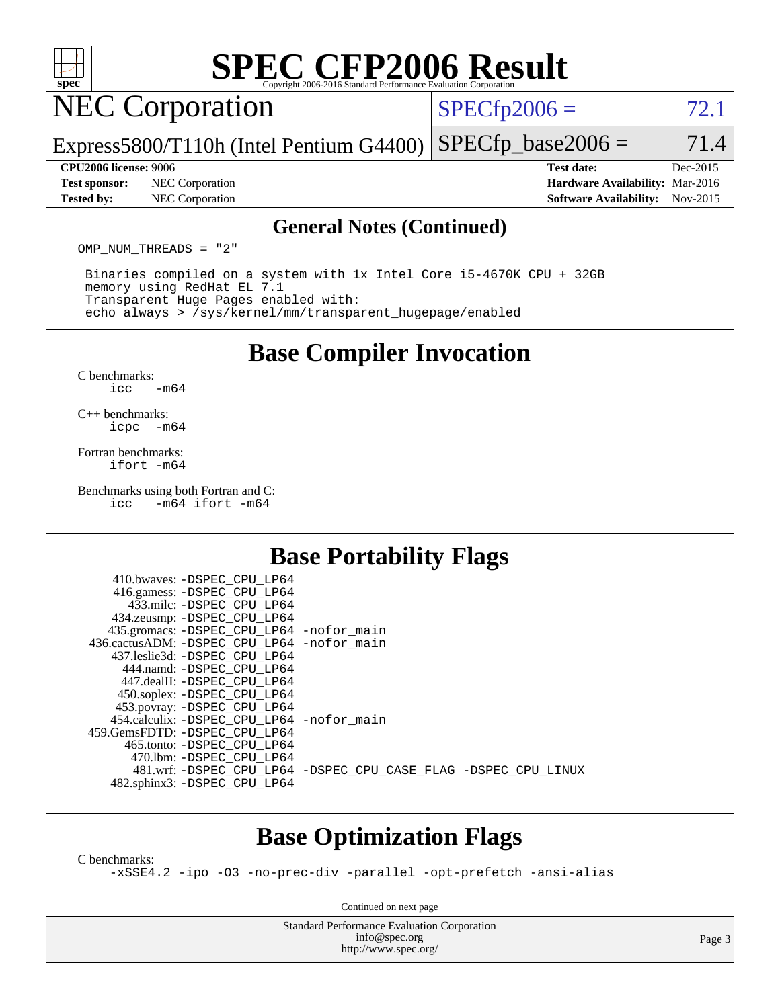

# **[SPEC CFP2006 Result](http://www.spec.org/auto/cpu2006/Docs/result-fields.html#SPECCFP2006Result)**

# **NEC Corporation**

 $SPECTp2006 = 72.1$ 

Express5800/T110h (Intel Pentium G4400)  $SPECTp\_base2006 = 71.4$ 

**[Test sponsor:](http://www.spec.org/auto/cpu2006/Docs/result-fields.html#Testsponsor)** NEC Corporation **[Hardware Availability:](http://www.spec.org/auto/cpu2006/Docs/result-fields.html#HardwareAvailability)** Mar-2016 **[Tested by:](http://www.spec.org/auto/cpu2006/Docs/result-fields.html#Testedby)** NEC Corporation **[Software Availability:](http://www.spec.org/auto/cpu2006/Docs/result-fields.html#SoftwareAvailability)** Nov-2015

**[CPU2006 license:](http://www.spec.org/auto/cpu2006/Docs/result-fields.html#CPU2006license)** 9006 **[Test date:](http://www.spec.org/auto/cpu2006/Docs/result-fields.html#Testdate)** Dec-2015

#### **[General Notes \(Continued\)](http://www.spec.org/auto/cpu2006/Docs/result-fields.html#GeneralNotes)**

OMP NUM THREADS = "2"

 Binaries compiled on a system with 1x Intel Core i5-4670K CPU + 32GB memory using RedHat EL 7.1 Transparent Huge Pages enabled with: echo always > /sys/kernel/mm/transparent\_hugepage/enabled

### **[Base Compiler Invocation](http://www.spec.org/auto/cpu2006/Docs/result-fields.html#BaseCompilerInvocation)**

[C benchmarks](http://www.spec.org/auto/cpu2006/Docs/result-fields.html#Cbenchmarks):  $\text{icc}$   $-\text{m64}$ 

[C++ benchmarks:](http://www.spec.org/auto/cpu2006/Docs/result-fields.html#CXXbenchmarks) [icpc -m64](http://www.spec.org/cpu2006/results/res2016q1/cpu2006-20160125-38833.flags.html#user_CXXbase_intel_icpc_64bit_bedb90c1146cab66620883ef4f41a67e)

[Fortran benchmarks](http://www.spec.org/auto/cpu2006/Docs/result-fields.html#Fortranbenchmarks): [ifort -m64](http://www.spec.org/cpu2006/results/res2016q1/cpu2006-20160125-38833.flags.html#user_FCbase_intel_ifort_64bit_ee9d0fb25645d0210d97eb0527dcc06e)

[Benchmarks using both Fortran and C](http://www.spec.org/auto/cpu2006/Docs/result-fields.html#BenchmarksusingbothFortranandC):<br>icc -m64 ifort -m64  $-m64$  ifort  $-m64$ 

# **[Base Portability Flags](http://www.spec.org/auto/cpu2006/Docs/result-fields.html#BasePortabilityFlags)**

| 410.bwaves: -DSPEC CPU LP64                  |                                                                |
|----------------------------------------------|----------------------------------------------------------------|
| 416.gamess: -DSPEC_CPU_LP64                  |                                                                |
| 433.milc: -DSPEC CPU LP64                    |                                                                |
| 434.zeusmp: - DSPEC_CPU_LP64                 |                                                                |
| 435.gromacs: -DSPEC_CPU_LP64 -nofor_main     |                                                                |
| 436.cactusADM: - DSPEC CPU LP64 - nofor main |                                                                |
| 437.leslie3d: -DSPEC CPU LP64                |                                                                |
| 444.namd: -DSPEC CPU LP64                    |                                                                |
| 447.dealII: -DSPEC CPU LP64                  |                                                                |
| 450.soplex: -DSPEC_CPU_LP64                  |                                                                |
| 453.povray: -DSPEC_CPU_LP64                  |                                                                |
| 454.calculix: - DSPEC_CPU_LP64 -nofor_main   |                                                                |
| 459.GemsFDTD: -DSPEC CPU LP64                |                                                                |
| 465.tonto: -DSPEC CPU LP64                   |                                                                |
| 470.1bm: - DSPEC CPU LP64                    |                                                                |
|                                              | 481.wrf: -DSPEC CPU_LP64 -DSPEC_CPU_CASE_FLAG -DSPEC_CPU_LINUX |
| 482.sphinx3: -DSPEC_CPU_LP64                 |                                                                |
|                                              |                                                                |

# **[Base Optimization Flags](http://www.spec.org/auto/cpu2006/Docs/result-fields.html#BaseOptimizationFlags)**

[C benchmarks](http://www.spec.org/auto/cpu2006/Docs/result-fields.html#Cbenchmarks):

[-xSSE4.2](http://www.spec.org/cpu2006/results/res2016q1/cpu2006-20160125-38833.flags.html#user_CCbase_f-xSSE42_f91528193cf0b216347adb8b939d4107) [-ipo](http://www.spec.org/cpu2006/results/res2016q1/cpu2006-20160125-38833.flags.html#user_CCbase_f-ipo) [-O3](http://www.spec.org/cpu2006/results/res2016q1/cpu2006-20160125-38833.flags.html#user_CCbase_f-O3) [-no-prec-div](http://www.spec.org/cpu2006/results/res2016q1/cpu2006-20160125-38833.flags.html#user_CCbase_f-no-prec-div) [-parallel](http://www.spec.org/cpu2006/results/res2016q1/cpu2006-20160125-38833.flags.html#user_CCbase_f-parallel) [-opt-prefetch](http://www.spec.org/cpu2006/results/res2016q1/cpu2006-20160125-38833.flags.html#user_CCbase_f-opt-prefetch) [-ansi-alias](http://www.spec.org/cpu2006/results/res2016q1/cpu2006-20160125-38833.flags.html#user_CCbase_f-ansi-alias)

Continued on next page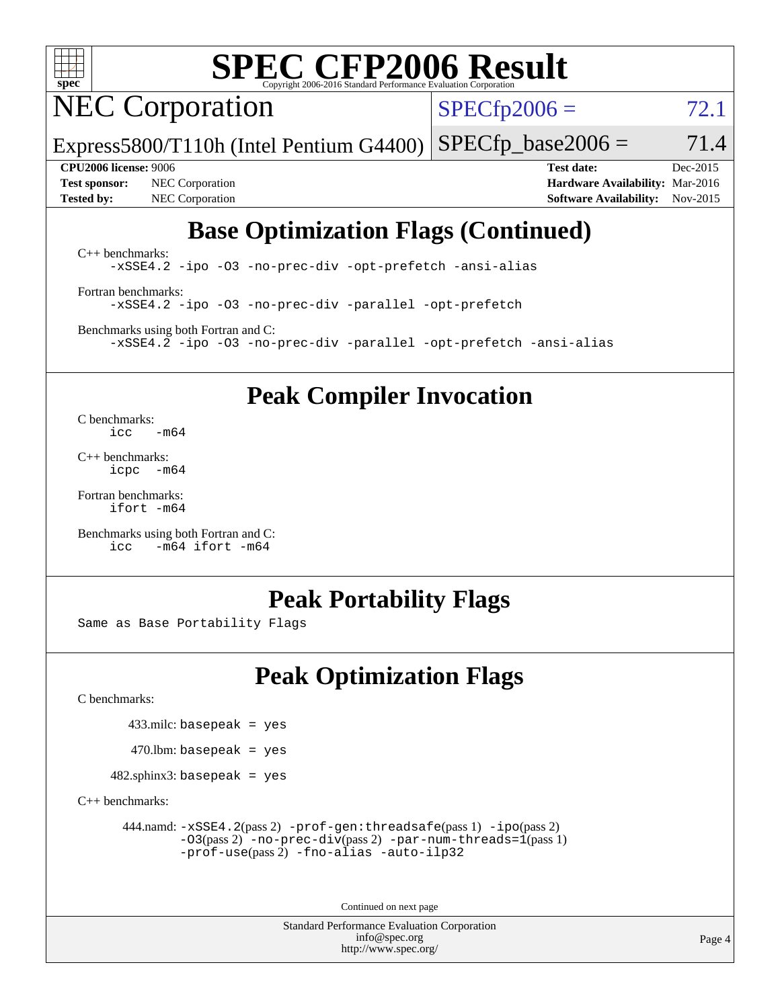

# **[SPEC CFP2006 Result](http://www.spec.org/auto/cpu2006/Docs/result-fields.html#SPECCFP2006Result)**

# NEC Corporation

 $SPECTp2006 = 72.1$ 

Express5800/T110h (Intel Pentium G4400)  $SPECTp\_base2006 = 71.4$ 

**[Test sponsor:](http://www.spec.org/auto/cpu2006/Docs/result-fields.html#Testsponsor)** NEC Corporation **[Hardware Availability:](http://www.spec.org/auto/cpu2006/Docs/result-fields.html#HardwareAvailability)** Mar-2016 **[Tested by:](http://www.spec.org/auto/cpu2006/Docs/result-fields.html#Testedby)** NEC Corporation **[Software Availability:](http://www.spec.org/auto/cpu2006/Docs/result-fields.html#SoftwareAvailability)** Nov-2015

**[CPU2006 license:](http://www.spec.org/auto/cpu2006/Docs/result-fields.html#CPU2006license)** 9006 **[Test date:](http://www.spec.org/auto/cpu2006/Docs/result-fields.html#Testdate)** Dec-2015

# **[Base Optimization Flags \(Continued\)](http://www.spec.org/auto/cpu2006/Docs/result-fields.html#BaseOptimizationFlags)**

[C++ benchmarks:](http://www.spec.org/auto/cpu2006/Docs/result-fields.html#CXXbenchmarks) [-xSSE4.2](http://www.spec.org/cpu2006/results/res2016q1/cpu2006-20160125-38833.flags.html#user_CXXbase_f-xSSE42_f91528193cf0b216347adb8b939d4107) [-ipo](http://www.spec.org/cpu2006/results/res2016q1/cpu2006-20160125-38833.flags.html#user_CXXbase_f-ipo) [-O3](http://www.spec.org/cpu2006/results/res2016q1/cpu2006-20160125-38833.flags.html#user_CXXbase_f-O3) [-no-prec-div](http://www.spec.org/cpu2006/results/res2016q1/cpu2006-20160125-38833.flags.html#user_CXXbase_f-no-prec-div) [-opt-prefetch](http://www.spec.org/cpu2006/results/res2016q1/cpu2006-20160125-38833.flags.html#user_CXXbase_f-opt-prefetch) [-ansi-alias](http://www.spec.org/cpu2006/results/res2016q1/cpu2006-20160125-38833.flags.html#user_CXXbase_f-ansi-alias)

[Fortran benchmarks](http://www.spec.org/auto/cpu2006/Docs/result-fields.html#Fortranbenchmarks): [-xSSE4.2](http://www.spec.org/cpu2006/results/res2016q1/cpu2006-20160125-38833.flags.html#user_FCbase_f-xSSE42_f91528193cf0b216347adb8b939d4107) [-ipo](http://www.spec.org/cpu2006/results/res2016q1/cpu2006-20160125-38833.flags.html#user_FCbase_f-ipo) [-O3](http://www.spec.org/cpu2006/results/res2016q1/cpu2006-20160125-38833.flags.html#user_FCbase_f-O3) [-no-prec-div](http://www.spec.org/cpu2006/results/res2016q1/cpu2006-20160125-38833.flags.html#user_FCbase_f-no-prec-div) [-parallel](http://www.spec.org/cpu2006/results/res2016q1/cpu2006-20160125-38833.flags.html#user_FCbase_f-parallel) [-opt-prefetch](http://www.spec.org/cpu2006/results/res2016q1/cpu2006-20160125-38833.flags.html#user_FCbase_f-opt-prefetch)

[Benchmarks using both Fortran and C](http://www.spec.org/auto/cpu2006/Docs/result-fields.html#BenchmarksusingbothFortranandC): [-xSSE4.2](http://www.spec.org/cpu2006/results/res2016q1/cpu2006-20160125-38833.flags.html#user_CC_FCbase_f-xSSE42_f91528193cf0b216347adb8b939d4107) [-ipo](http://www.spec.org/cpu2006/results/res2016q1/cpu2006-20160125-38833.flags.html#user_CC_FCbase_f-ipo) [-O3](http://www.spec.org/cpu2006/results/res2016q1/cpu2006-20160125-38833.flags.html#user_CC_FCbase_f-O3) [-no-prec-div](http://www.spec.org/cpu2006/results/res2016q1/cpu2006-20160125-38833.flags.html#user_CC_FCbase_f-no-prec-div) [-parallel](http://www.spec.org/cpu2006/results/res2016q1/cpu2006-20160125-38833.flags.html#user_CC_FCbase_f-parallel) [-opt-prefetch](http://www.spec.org/cpu2006/results/res2016q1/cpu2006-20160125-38833.flags.html#user_CC_FCbase_f-opt-prefetch) [-ansi-alias](http://www.spec.org/cpu2006/results/res2016q1/cpu2006-20160125-38833.flags.html#user_CC_FCbase_f-ansi-alias)

**[Peak Compiler Invocation](http://www.spec.org/auto/cpu2006/Docs/result-fields.html#PeakCompilerInvocation)**

[C benchmarks](http://www.spec.org/auto/cpu2006/Docs/result-fields.html#Cbenchmarks):  $\text{icc}$   $-\text{m64}$ 

[C++ benchmarks:](http://www.spec.org/auto/cpu2006/Docs/result-fields.html#CXXbenchmarks) [icpc -m64](http://www.spec.org/cpu2006/results/res2016q1/cpu2006-20160125-38833.flags.html#user_CXXpeak_intel_icpc_64bit_bedb90c1146cab66620883ef4f41a67e)

[Fortran benchmarks](http://www.spec.org/auto/cpu2006/Docs/result-fields.html#Fortranbenchmarks): [ifort -m64](http://www.spec.org/cpu2006/results/res2016q1/cpu2006-20160125-38833.flags.html#user_FCpeak_intel_ifort_64bit_ee9d0fb25645d0210d97eb0527dcc06e)

[Benchmarks using both Fortran and C](http://www.spec.org/auto/cpu2006/Docs/result-fields.html#BenchmarksusingbothFortranandC): [icc -m64](http://www.spec.org/cpu2006/results/res2016q1/cpu2006-20160125-38833.flags.html#user_CC_FCpeak_intel_icc_64bit_0b7121f5ab7cfabee23d88897260401c) [ifort -m64](http://www.spec.org/cpu2006/results/res2016q1/cpu2006-20160125-38833.flags.html#user_CC_FCpeak_intel_ifort_64bit_ee9d0fb25645d0210d97eb0527dcc06e)

# **[Peak Portability Flags](http://www.spec.org/auto/cpu2006/Docs/result-fields.html#PeakPortabilityFlags)**

Same as Base Portability Flags

# **[Peak Optimization Flags](http://www.spec.org/auto/cpu2006/Docs/result-fields.html#PeakOptimizationFlags)**

[C benchmarks](http://www.spec.org/auto/cpu2006/Docs/result-fields.html#Cbenchmarks):

433.milc: basepeak = yes

 $470$ .lbm: basepeak = yes

482.sphinx3: basepeak = yes

[C++ benchmarks:](http://www.spec.org/auto/cpu2006/Docs/result-fields.html#CXXbenchmarks)

 444.namd: [-xSSE4.2](http://www.spec.org/cpu2006/results/res2016q1/cpu2006-20160125-38833.flags.html#user_peakPASS2_CXXFLAGSPASS2_LDFLAGS444_namd_f-xSSE42_f91528193cf0b216347adb8b939d4107)(pass 2) [-prof-gen:threadsafe](http://www.spec.org/cpu2006/results/res2016q1/cpu2006-20160125-38833.flags.html#user_peakPASS1_CXXFLAGSPASS1_LDFLAGS444_namd_prof_gen_21a26eb79f378b550acd7bec9fe4467a)(pass 1) [-ipo](http://www.spec.org/cpu2006/results/res2016q1/cpu2006-20160125-38833.flags.html#user_peakPASS2_CXXFLAGSPASS2_LDFLAGS444_namd_f-ipo)(pass 2) [-O3](http://www.spec.org/cpu2006/results/res2016q1/cpu2006-20160125-38833.flags.html#user_peakPASS2_CXXFLAGSPASS2_LDFLAGS444_namd_f-O3)(pass 2) [-no-prec-div](http://www.spec.org/cpu2006/results/res2016q1/cpu2006-20160125-38833.flags.html#user_peakPASS2_CXXFLAGSPASS2_LDFLAGS444_namd_f-no-prec-div)(pass 2) [-par-num-threads=1](http://www.spec.org/cpu2006/results/res2016q1/cpu2006-20160125-38833.flags.html#user_peakPASS1_CXXFLAGSPASS1_LDFLAGS444_namd_par_num_threads_786a6ff141b4e9e90432e998842df6c2)(pass 1) [-prof-use](http://www.spec.org/cpu2006/results/res2016q1/cpu2006-20160125-38833.flags.html#user_peakPASS2_CXXFLAGSPASS2_LDFLAGS444_namd_prof_use_bccf7792157ff70d64e32fe3e1250b55)(pass 2) [-fno-alias](http://www.spec.org/cpu2006/results/res2016q1/cpu2006-20160125-38833.flags.html#user_peakCXXOPTIMIZEOPTIMIZE444_namd_f-no-alias_694e77f6c5a51e658e82ccff53a9e63a) [-auto-ilp32](http://www.spec.org/cpu2006/results/res2016q1/cpu2006-20160125-38833.flags.html#user_peakCXXOPTIMIZE444_namd_f-auto-ilp32)

Continued on next page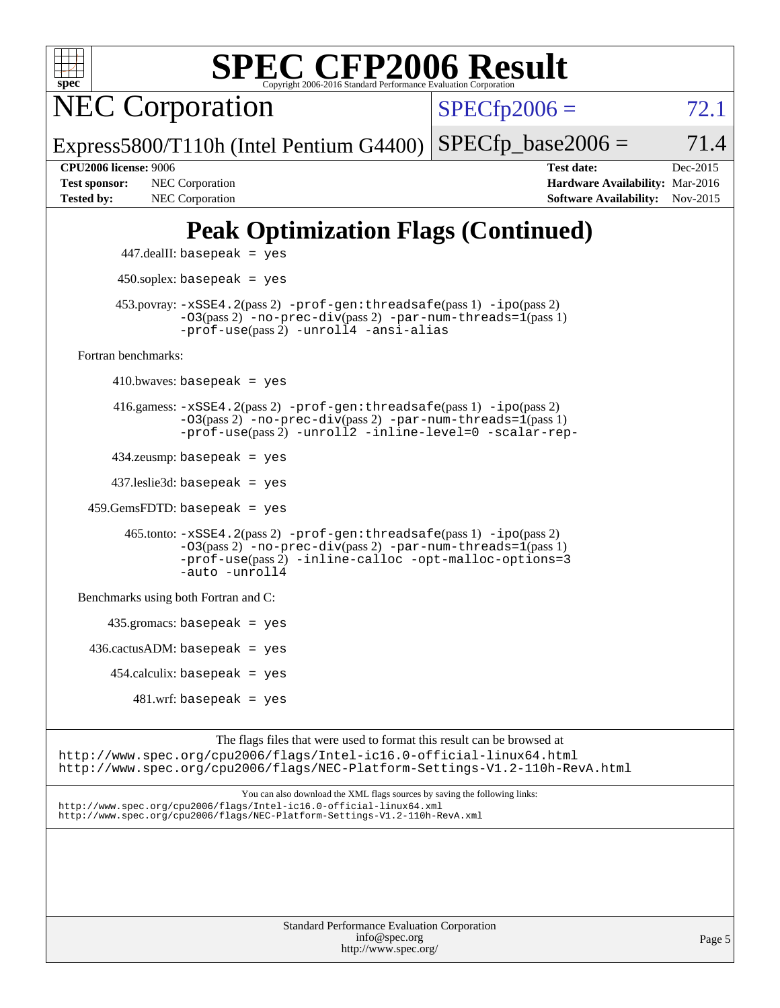| <b>SPEC CFP2006 Result</b><br>$spec^*$<br>Copyright 2006-2016 Standard Performance Evaluation Corporation                                                                                                                       |                                                                                                               |
|---------------------------------------------------------------------------------------------------------------------------------------------------------------------------------------------------------------------------------|---------------------------------------------------------------------------------------------------------------|
| <b>NEC Corporation</b>                                                                                                                                                                                                          | $SPECfp2006 =$<br>72.1                                                                                        |
| Express5800/T110h (Intel Pentium G4400)                                                                                                                                                                                         | $SPECfp\_base2006 =$<br>71.4                                                                                  |
| <b>CPU2006 license: 9006</b><br><b>Test sponsor:</b><br>NEC Corporation<br><b>Tested by:</b><br>NEC Corporation                                                                                                                 | <b>Test date:</b><br>Dec-2015<br>Hardware Availability: Mar-2016<br><b>Software Availability:</b><br>Nov-2015 |
| <b>Peak Optimization Flags (Continued)</b>                                                                                                                                                                                      |                                                                                                               |
| $447$ .dealII: basepeak = yes                                                                                                                                                                                                   |                                                                                                               |
| $450$ .soplex: basepeak = yes                                                                                                                                                                                                   |                                                                                                               |
| 453.povray: -xSSE4.2(pass 2) -prof-gen:threadsafe(pass 1) -ipo(pass 2)<br>-03(pass 2) -no-prec-div(pass 2) -par-num-threads=1(pass 1)<br>-prof-use(pass 2) -unroll4 -ansi-alias                                                 |                                                                                                               |
| Fortran benchmarks:                                                                                                                                                                                                             |                                                                                                               |
| $410.bwaves: basepeak = yes$                                                                                                                                                                                                    |                                                                                                               |
| $416$ .gamess: $-xSSE4$ . $2(pass 2)$ -prof-gen: threadsafe(pass 1) -ipo(pass 2)<br>$-03(pass 2)$ -no-prec-div(pass 2) -par-num-threads=1(pass 1)<br>-prof-use(pass 2) -unroll2 -inline-level=0 -scalar-rep-                    |                                                                                                               |
| $434$ .zeusmp: basepeak = yes                                                                                                                                                                                                   |                                                                                                               |
| $437$ .leslie3d: basepeak = yes                                                                                                                                                                                                 |                                                                                                               |
| $459.GemsFDTD: basepeak = yes$                                                                                                                                                                                                  |                                                                                                               |
| $465$ .tonto: $-xSSE4$ . $2(pass 2)$ -prof-gen: threadsafe(pass 1) -ipo(pass 2)<br>$-03(pass 2)$ -no-prec-div(pass 2) -par-num-threads=1(pass 1)<br>$-prof-use(pass 2) -inline-calloc -opt-malloc-options=3$<br>-auto -unroll4  |                                                                                                               |
| Benchmarks using both Fortran and C:                                                                                                                                                                                            |                                                                                                               |
| $435$ .gromacs: basepeak = yes                                                                                                                                                                                                  |                                                                                                               |
| $436.cactusADM:basepeak = yes$                                                                                                                                                                                                  |                                                                                                               |
| $454$ .calculix: basepeak = yes                                                                                                                                                                                                 |                                                                                                               |
| $481.wrf$ : basepeak = yes                                                                                                                                                                                                      |                                                                                                               |
| The flags files that were used to format this result can be browsed at<br>http://www.spec.org/cpu2006/flags/Intel-ic16.0-official-linux64.html<br>http://www.spec.org/cpu2006/flags/NEC-Platform-Settings-V1.2-110h-RevA.html   |                                                                                                               |
| You can also download the XML flags sources by saving the following links:<br>http://www.spec.org/cpu2006/flags/Intel-ic16.0-official-linux64.xml<br>http://www.spec.org/cpu2006/flags/NEC-Platform-Settings-V1.2-110h-RevA.xml |                                                                                                               |
|                                                                                                                                                                                                                                 |                                                                                                               |

| <b>Standard Performance Evaluation Corporation</b> |
|----------------------------------------------------|
| info@spec.org                                      |
| http://www.spec.org/                               |